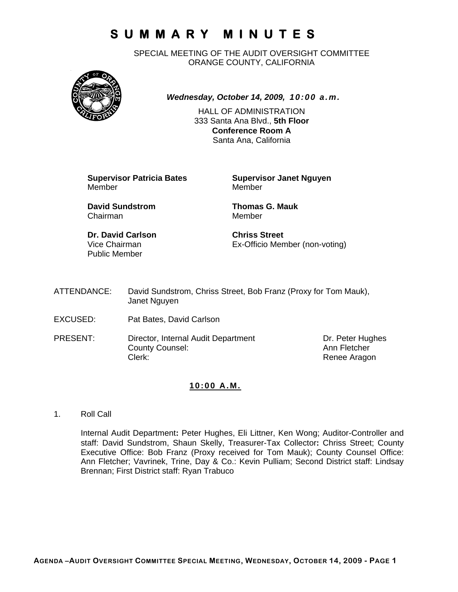SPECIAL MEETING OF THE AUDIT OVERSIGHT COMMITTEE ORANGE COUNTY, CALIFORNIA



*Wednesday, October 14, 2009, 10:00 a.m.*

HALL OF ADMINISTRATION 333 Santa Ana Blvd., **5th Floor Conference Room A**  Santa Ana, California

**Supervisor Patricia Bates Supervisor Janet Nguyen** Member Member

**David Sundstrom Thomas G. Mauk**  Chairman Member

**Dr. David Carlson Chriss Street** Public Member

Vice Chairman Ex-Officio Member (non-voting)

ATTENDANCE: David Sundstrom, Chriss Street, Bob Franz (Proxy for Tom Mauk), Janet Nguyen

- EXCUSED: Pat Bates, David Carlson
- PRESENT: Director, Internal Audit Department Dr. Peter Hughes County Counsel: Counsel: County Counsel: County Counsel: Ann Fletcher Clerk: Clerk: Clerk: Clerk: Renee Aragon

### **10:00 A.M.**

1. Roll Call

Internal Audit Department**:** Peter Hughes, Eli Littner, Ken Wong; Auditor-Controller and staff: David Sundstrom, Shaun Skelly, Treasurer-Tax Collector**:** Chriss Street; County Executive Office: Bob Franz (Proxy received for Tom Mauk); County Counsel Office: Ann Fletcher; Vavrinek, Trine, Day & Co.: Kevin Pulliam; Second District staff: Lindsay Brennan; First District staff: Ryan Trabuco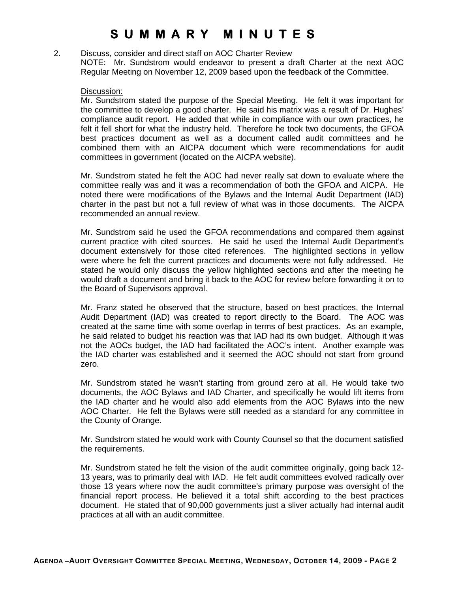2. Discuss, consider and direct staff on AOC Charter Review NOTE: Mr. Sundstrom would endeavor to present a draft Charter at the next AOC Regular Meeting on November 12, 2009 based upon the feedback of the Committee.

#### Discussion:

Mr. Sundstrom stated the purpose of the Special Meeting. He felt it was important for the committee to develop a good charter. He said his matrix was a result of Dr. Hughes' compliance audit report. He added that while in compliance with our own practices, he felt it fell short for what the industry held. Therefore he took two documents, the GFOA best practices document as well as a document called audit committees and he combined them with an AICPA document which were recommendations for audit committees in government (located on the AICPA website).

Mr. Sundstrom stated he felt the AOC had never really sat down to evaluate where the committee really was and it was a recommendation of both the GFOA and AICPA. He noted there were modifications of the Bylaws and the Internal Audit Department (IAD) charter in the past but not a full review of what was in those documents. The AICPA recommended an annual review.

Mr. Sundstrom said he used the GFOA recommendations and compared them against current practice with cited sources. He said he used the Internal Audit Department's document extensively for those cited references. The highlighted sections in yellow were where he felt the current practices and documents were not fully addressed. He stated he would only discuss the yellow highlighted sections and after the meeting he would draft a document and bring it back to the AOC for review before forwarding it on to the Board of Supervisors approval.

Mr. Franz stated he observed that the structure, based on best practices, the Internal Audit Department (IAD) was created to report directly to the Board. The AOC was created at the same time with some overlap in terms of best practices. As an example, he said related to budget his reaction was that IAD had its own budget. Although it was not the AOCs budget, the IAD had facilitated the AOC's intent. Another example was the IAD charter was established and it seemed the AOC should not start from ground zero.

Mr. Sundstrom stated he wasn't starting from ground zero at all. He would take two documents, the AOC Bylaws and IAD Charter, and specifically he would lift items from the IAD charter and he would also add elements from the AOC Bylaws into the new AOC Charter. He felt the Bylaws were still needed as a standard for any committee in the County of Orange.

Mr. Sundstrom stated he would work with County Counsel so that the document satisfied the requirements.

Mr. Sundstrom stated he felt the vision of the audit committee originally, going back 12- 13 years, was to primarily deal with IAD. He felt audit committees evolved radically over those 13 years where now the audit committee's primary purpose was oversight of the financial report process. He believed it a total shift according to the best practices document. He stated that of 90,000 governments just a sliver actually had internal audit practices at all with an audit committee.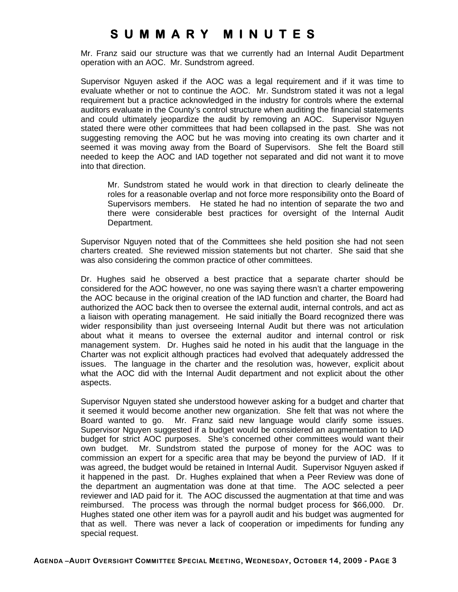Mr. Franz said our structure was that we currently had an Internal Audit Department operation with an AOC. Mr. Sundstrom agreed.

Supervisor Nguyen asked if the AOC was a legal requirement and if it was time to evaluate whether or not to continue the AOC. Mr. Sundstrom stated it was not a legal requirement but a practice acknowledged in the industry for controls where the external auditors evaluate in the County's control structure when auditing the financial statements and could ultimately jeopardize the audit by removing an AOC. Supervisor Nguyen stated there were other committees that had been collapsed in the past. She was not suggesting removing the AOC but he was moving into creating its own charter and it seemed it was moving away from the Board of Supervisors. She felt the Board still needed to keep the AOC and IAD together not separated and did not want it to move into that direction.

Mr. Sundstrom stated he would work in that direction to clearly delineate the roles for a reasonable overlap and not force more responsibility onto the Board of Supervisors members. He stated he had no intention of separate the two and there were considerable best practices for oversight of the Internal Audit Department.

Supervisor Nguyen noted that of the Committees she held position she had not seen charters created. She reviewed mission statements but not charter. She said that she was also considering the common practice of other committees.

Dr. Hughes said he observed a best practice that a separate charter should be considered for the AOC however, no one was saying there wasn't a charter empowering the AOC because in the original creation of the IAD function and charter, the Board had authorized the AOC back then to oversee the external audit, internal controls, and act as a liaison with operating management. He said initially the Board recognized there was wider responsibility than just overseeing Internal Audit but there was not articulation about what it means to oversee the external auditor and internal control or risk management system. Dr. Hughes said he noted in his audit that the language in the Charter was not explicit although practices had evolved that adequately addressed the issues. The language in the charter and the resolution was, however, explicit about what the AOC did with the Internal Audit department and not explicit about the other aspects.

Supervisor Nguyen stated she understood however asking for a budget and charter that it seemed it would become another new organization. She felt that was not where the Board wanted to go. Mr. Franz said new language would clarify some issues. Supervisor Nguyen suggested if a budget would be considered an augmentation to IAD budget for strict AOC purposes. She's concerned other committees would want their own budget. Mr. Sundstrom stated the purpose of money for the AOC was to commission an expert for a specific area that may be beyond the purview of IAD. If it was agreed, the budget would be retained in Internal Audit. Supervisor Nguyen asked if it happened in the past. Dr. Hughes explained that when a Peer Review was done of the department an augmentation was done at that time. The AOC selected a peer reviewer and IAD paid for it. The AOC discussed the augmentation at that time and was reimbursed. The process was through the normal budget process for \$66,000. Dr. Hughes stated one other item was for a payroll audit and his budget was augmented for that as well. There was never a lack of cooperation or impediments for funding any special request.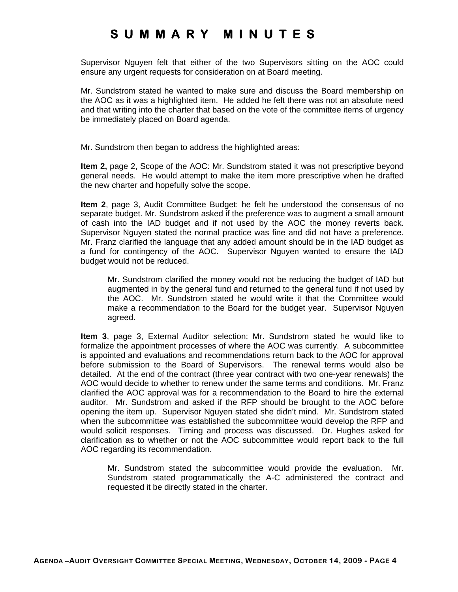Supervisor Nguyen felt that either of the two Supervisors sitting on the AOC could ensure any urgent requests for consideration on at Board meeting.

Mr. Sundstrom stated he wanted to make sure and discuss the Board membership on the AOC as it was a highlighted item. He added he felt there was not an absolute need and that writing into the charter that based on the vote of the committee items of urgency be immediately placed on Board agenda.

Mr. Sundstrom then began to address the highlighted areas:

**Item 2,** page 2, Scope of the AOC: Mr. Sundstrom stated it was not prescriptive beyond general needs. He would attempt to make the item more prescriptive when he drafted the new charter and hopefully solve the scope.

**Item 2**, page 3, Audit Committee Budget: he felt he understood the consensus of no separate budget. Mr. Sundstrom asked if the preference was to augment a small amount of cash into the IAD budget and if not used by the AOC the money reverts back. Supervisor Nguyen stated the normal practice was fine and did not have a preference. Mr. Franz clarified the language that any added amount should be in the IAD budget as a fund for contingency of the AOC. Supervisor Nguyen wanted to ensure the IAD budget would not be reduced.

Mr. Sundstrom clarified the money would not be reducing the budget of IAD but augmented in by the general fund and returned to the general fund if not used by the AOC. Mr. Sundstrom stated he would write it that the Committee would make a recommendation to the Board for the budget year. Supervisor Nguyen agreed.

**Item 3**, page 3, External Auditor selection: Mr. Sundstrom stated he would like to formalize the appointment processes of where the AOC was currently. A subcommittee is appointed and evaluations and recommendations return back to the AOC for approval before submission to the Board of Supervisors. The renewal terms would also be detailed. At the end of the contract (three year contract with two one-year renewals) the AOC would decide to whether to renew under the same terms and conditions. Mr. Franz clarified the AOC approval was for a recommendation to the Board to hire the external auditor. Mr. Sundstrom and asked if the RFP should be brought to the AOC before opening the item up. Supervisor Nguyen stated she didn't mind. Mr. Sundstrom stated when the subcommittee was established the subcommittee would develop the RFP and would solicit responses. Timing and process was discussed. Dr. Hughes asked for clarification as to whether or not the AOC subcommittee would report back to the full AOC regarding its recommendation.

Mr. Sundstrom stated the subcommittee would provide the evaluation. Mr. Sundstrom stated programmatically the A-C administered the contract and requested it be directly stated in the charter.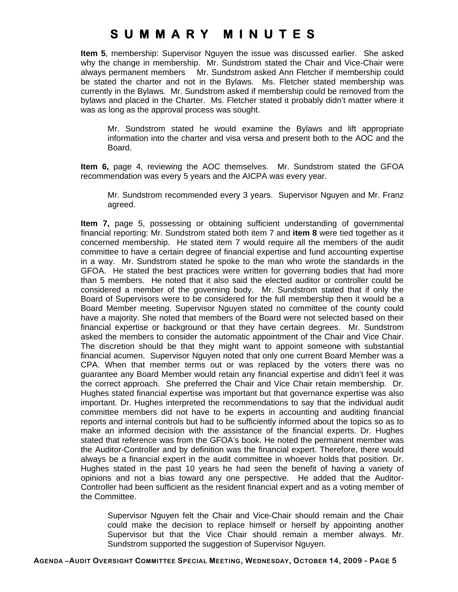**Item 5**, membership: Supervisor Nguyen the issue was discussed earlier. She asked why the change in membership. Mr. Sundstrom stated the Chair and Vice-Chair were always permanent members Mr. Sundstrom asked Ann Fletcher if membership could be stated the charter and not in the Bylaws. Ms. Fletcher stated membership was currently in the Bylaws. Mr. Sundstrom asked if membership could be removed from the bylaws and placed in the Charter. Ms. Fletcher stated it probably didn't matter where it was as long as the approval process was sought.

Mr. Sundstrom stated he would examine the Bylaws and lift appropriate information into the charter and visa versa and present both to the AOC and the Board.

**Item 6,** page 4, reviewing the AOC themselves. Mr. Sundstrom stated the GFOA recommendation was every 5 years and the AICPA was every year.

Mr. Sundstrom recommended every 3 years. Supervisor Nguyen and Mr. Franz agreed.

**Item 7,** page 5, possessing or obtaining sufficient understanding of governmental financial reporting: Mr. Sundstrom stated both item 7 and **item 8** were tied together as it concerned membership. He stated item 7 would require all the members of the audit committee to have a certain degree of financial expertise and fund accounting expertise in a way. Mr. Sundstrom stated he spoke to the man who wrote the standards in the GFOA. He stated the best practices were written for governing bodies that had more than 5 members. He noted that it also said the elected auditor or controller could be considered a member of the governing body. Mr. Sundstrom stated that if only the Board of Supervisors were to be considered for the full membership then it would be a Board Member meeting. Supervisor Nguyen stated no committee of the county could have a majority. She noted that members of the Board were not selected based on their financial expertise or background or that they have certain degrees. Mr. Sundstrom asked the members to consider the automatic appointment of the Chair and Vice Chair. The discretion should be that they might want to appoint someone with substantial financial acumen. Supervisor Nguyen noted that only one current Board Member was a CPA. When that member terms out or was replaced by the voters there was no guarantee any Board Member would retain any financial expertise and didn't feel it was the correct approach. She preferred the Chair and Vice Chair retain membership. Dr. Hughes stated financial expertise was important but that governance expertise was also important. Dr. Hughes interpreted the recommendations to say that the individual audit committee members did not have to be experts in accounting and auditing financial reports and internal controls but had to be sufficiently informed about the topics so as to make an informed decision with the assistance of the financial experts. Dr. Hughes stated that reference was from the GFOA's book. He noted the permanent member was the Auditor-Controller and by definition was the financial expert. Therefore, there would always be a financial expert in the audit committee in whoever holds that position. Dr. Hughes stated in the past 10 years he had seen the benefit of having a variety of opinions and not a bias toward any one perspective. He added that the Auditor-Controller had been sufficient as the resident financial expert and as a voting member of the Committee.

Supervisor Nguyen felt the Chair and Vice-Chair should remain and the Chair could make the decision to replace himself or herself by appointing another Supervisor but that the Vice Chair should remain a member always. Mr. Sundstrom supported the suggestion of Supervisor Nguyen.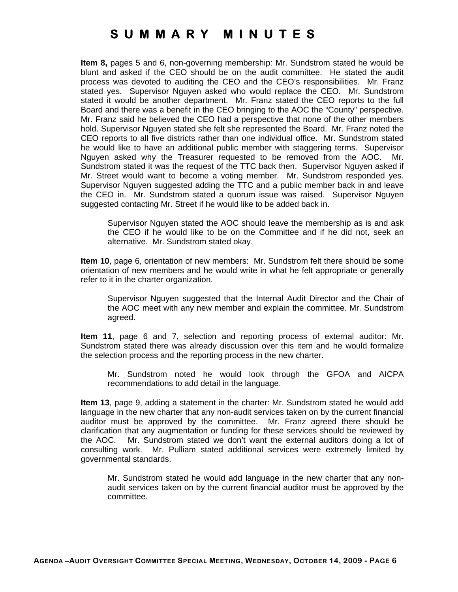**Item 8,** pages 5 and 6, non-governing membership: Mr. Sundstrom stated he would be blunt and asked if the CEO should be on the audit committee. He stated the audit process was devoted to auditing the CEO and the CEO's responsibilities. Mr. Franz stated yes. Supervisor Nguyen asked who would replace the CEO. Mr. Sundstrom stated it would be another department. Mr. Franz stated the CEO reports to the full Board and there was a benefit in the CEO bringing to the AOC the "County" perspective. Mr. Franz said he believed the CEO had a perspective that none of the other members hold. Supervisor Nguyen stated she felt she represented the Board. Mr. Franz noted the CEO reports to all five districts rather than one individual office. Mr. Sundstrom stated he would like to have an additional public member with staggering terms. Supervisor Nguyen asked why the Treasurer requested to be removed from the AOC. Mr. Sundstrom stated it was the request of the TTC back then. Supervisor Nguyen asked if Mr. Street would want to become a voting member. Mr. Sundstrom responded yes. Supervisor Nguyen suggested adding the TTC and a public member back in and leave the CEO in. Mr. Sundstrom stated a quorum issue was raised. Supervisor Nguyen suggested contacting Mr. Street if he would like to be added back in.

Supervisor Nguyen stated the AOC should leave the membership as is and ask the CEO if he would like to be on the Committee and if he did not, seek an alternative. Mr. Sundstrom stated okay.

**Item 10**, page 6, orientation of new members: Mr. Sundstrom felt there should be some orientation of new members and he would write in what he felt appropriate or generally refer to it in the charter organization.

Supervisor Nguyen suggested that the Internal Audit Director and the Chair of the AOC meet with any new member and explain the committee. Mr. Sundstrom agreed.

**Item 11**, page 6 and 7, selection and reporting process of external auditor: Mr. Sundstrom stated there was already discussion over this item and he would formalize the selection process and the reporting process in the new charter.

Mr. Sundstrom noted he would look through the GFOA and AICPA recommendations to add detail in the language.

**Item 13**, page 9, adding a statement in the charter: Mr. Sundstrom stated he would add language in the new charter that any non-audit services taken on by the current financial auditor must be approved by the committee. Mr. Franz agreed there should be clarification that any augmentation or funding for these services should be reviewed by the AOC. Mr. Sundstrom stated we don't want the external auditors doing a lot of consulting work. Mr. Pulliam stated additional services were extremely limited by governmental standards.

Mr. Sundstrom stated he would add language in the new charter that any nonaudit services taken on by the current financial auditor must be approved by the committee.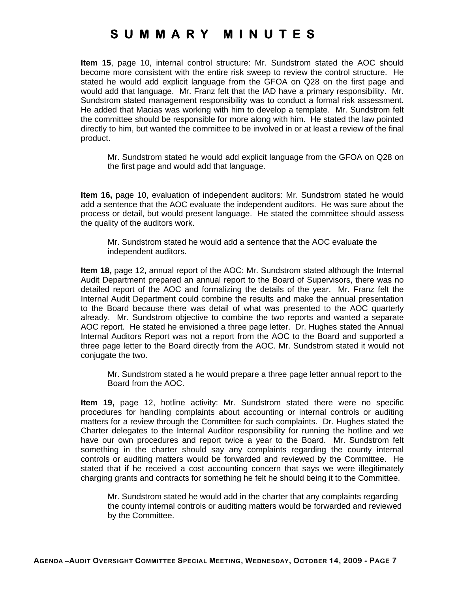**Item 15**, page 10, internal control structure: Mr. Sundstrom stated the AOC should become more consistent with the entire risk sweep to review the control structure. He stated he would add explicit language from the GFOA on Q28 on the first page and would add that language. Mr. Franz felt that the IAD have a primary responsibility. Mr. Sundstrom stated management responsibility was to conduct a formal risk assessment. He added that Macias was working with him to develop a template. Mr. Sundstrom felt the committee should be responsible for more along with him. He stated the law pointed directly to him, but wanted the committee to be involved in or at least a review of the final product.

Mr. Sundstrom stated he would add explicit language from the GFOA on Q28 on the first page and would add that language.

**Item 16,** page 10, evaluation of independent auditors: Mr. Sundstrom stated he would add a sentence that the AOC evaluate the independent auditors. He was sure about the process or detail, but would present language. He stated the committee should assess the quality of the auditors work.

Mr. Sundstrom stated he would add a sentence that the AOC evaluate the independent auditors.

**Item 18,** page 12, annual report of the AOC: Mr. Sundstrom stated although the Internal Audit Department prepared an annual report to the Board of Supervisors, there was no detailed report of the AOC and formalizing the details of the year. Mr. Franz felt the Internal Audit Department could combine the results and make the annual presentation to the Board because there was detail of what was presented to the AOC quarterly already. Mr. Sundstrom objective to combine the two reports and wanted a separate AOC report. He stated he envisioned a three page letter. Dr. Hughes stated the Annual Internal Auditors Report was not a report from the AOC to the Board and supported a three page letter to the Board directly from the AOC. Mr. Sundstrom stated it would not conjugate the two.

Mr. Sundstrom stated a he would prepare a three page letter annual report to the Board from the AOC.

**Item 19,** page 12, hotline activity: Mr. Sundstrom stated there were no specific procedures for handling complaints about accounting or internal controls or auditing matters for a review through the Committee for such complaints. Dr. Hughes stated the Charter delegates to the Internal Auditor responsibility for running the hotline and we have our own procedures and report twice a year to the Board. Mr. Sundstrom felt something in the charter should say any complaints regarding the county internal controls or auditing matters would be forwarded and reviewed by the Committee. He stated that if he received a cost accounting concern that says we were illegitimately charging grants and contracts for something he felt he should being it to the Committee.

Mr. Sundstrom stated he would add in the charter that any complaints regarding the county internal controls or auditing matters would be forwarded and reviewed by the Committee.